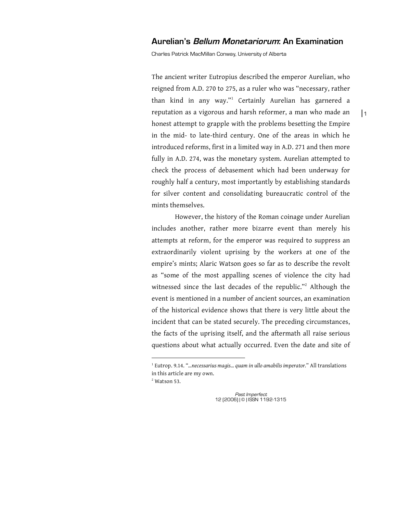# **Aurelian's Bellum Monetariorum: An Examination**

Charles Patrick MacMillan Conway, University of Alberta

The ancient writer Eutropius described the emperor Aurelian, who reigned from A.D. 270 to 275, as a ruler who was "necessary, rather than kind in any way."<sup>1</sup> Certainly Aurelian has garnered a reputation as a vigorous and harsh reformer, a man who made an honest attempt to grapple with the problems besetting the Empire in the mid- to late-third century. One of the areas in which he introduced reforms, first in a limited way in A.D. 271 and then more fully in A.D. 274, was the monetary system. Aurelian attempted to check the process of debasement which had been underway for roughly half a century, most importantly by establishing standards for silver content and consolidating bureaucratic control of the mints themselves.

However, the history of the Roman coinage under Aurelian includes another, rather more bizarre event than merely his attempts at reform, for the emperor was required to suppress an extraordinarily violent uprising by the workers at one of the empire's mints; Alaric Watson goes so far as to describe the revolt as "some of the most appalling scenes of violence the city had witnessed since the last decades of the republic."<sup>2</sup> Although the event is mentioned in a number of ancient sources, an examination of the historical evidence shows that there is very little about the incident that can be stated securely. The preceding circumstances, the facts of the uprising itself, and the aftermath all raise serious questions about what actually occurred. Even the date and site of

 $<sup>2</sup>$  Watson 53.</sup>

 $\overline{a}$ 

<sup>1</sup> Eutrop. 9.14. "*…necessarius magis… quam in ullo amabilis imperator.*" All translations in this article are my own.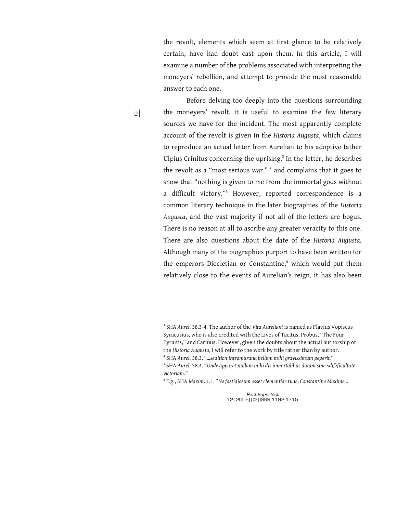the revolt, elements which seem at first glance to be relatively certain, have had doubt cast upon them. In this article, I will examine a number of the problems associated with interpreting the moneyers' rebellion, and attempt to provide the most reasonable answer to each one.

 $2<sup>1</sup>$ 

 $\overline{a}$ 

Before delving too deeply into the questions surrounding the moneyers' revolt, it is useful to examine the few literary sources we have for the incident. The most apparently complete account of the revolt is given in the *Historia Augusta*, which claims to reproduce an actual letter from Aurelian to his adoptive father Ulpius Crinitus concerning the uprising. $3$  In the letter, he describes the revolt as a "most serious war," <sup>4</sup> and complains that it goes to show that "nothing is given to me from the immortal gods without a difficult victory."<sup>5</sup> However, reported correspondence is a common literary technique in the later biographies of the *Historia Augusta*, and the vast majority if not all of the letters are bogus. There is no reason at all to ascribe any greater veracity to this one. There are also questions about the date of the *Historia Augusta*. Although many of the biographies purport to have been written for the emperors Diocletian or Constantine,<sup>6</sup> which would put them relatively close to the events of Aurelian's reign, it has also been

<sup>3</sup> SHA *Aurel*. 38.3-4. The author of the *Vita Aureliani* is named as Flavius Vopiscus Syracusius, who is also credited with the Lives of Tacitus, Probus, "The Four Tyrants," and Carinus. However, given the doubts about the actual authorship of the *Historia Augusta*, I will refer to the work by title rather than by author. 4 SHA *Aurel*. 38.3. "*…sedition intramurana bellum mihi gravissimum peperit.*"

<sup>5</sup> SHA *Aurel*. 38.4. "*Unde apparet nullam mihi dis inmortalibus datam sine <dif>ficultate victoriam.*"

<sup>6</sup> E.g., SHA *Maxim*. 1.1. "*Ne fastidiosum esset clementiae tuae, Constantine Maxime…*

Past Imperfect 12 (2006) | © | ISSN 1192-1315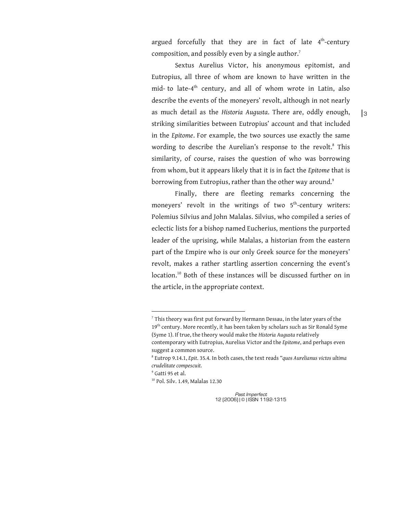argued forcefully that they are in fact of late  $4<sup>th</sup>$ -century composition, and possibly even by a single author.<sup>7</sup>

Sextus Aurelius Victor, his anonymous epitomist, and Eutropius, all three of whom are known to have written in the mid- to late-4<sup>th</sup> century, and all of whom wrote in Latin, also describe the events of the moneyers' revolt, although in not nearly as much detail as the *Historia Augusta*. There are, oddly enough, striking similarities between Eutropius' account and that included in the *Epitome*. For example, the two sources use exactly the same wording to describe the Aurelian's response to the revolt.<sup>8</sup> This similarity, of course, raises the question of who was borrowing from whom, but it appears likely that it is in fact the *Epitome* that is borrowing from Eutropius, rather than the other way around.<sup>9</sup>

Finally, there are fleeting remarks concerning the moneyers' revolt in the writings of two  $5<sup>th</sup>$ -century writers: Polemius Silvius and John Malalas. Silvius, who compiled a series of eclectic lists for a bishop named Eucherius, mentions the purported leader of the uprising, while Malalas, a historian from the eastern part of the Empire who is our only Greek source for the moneyers' revolt, makes a rather startling assertion concerning the event's location.<sup>10</sup> Both of these instances will be discussed further on in the article, in the appropriate context.

 $\overline{a}$ 

 $7$  This theory was first put forward by Hermann Dessau, in the later years of the 19<sup>th</sup> century. More recently, it has been taken by scholars such as Sir Ronald Syme (Syme 1). If true, the theory would make the *Historia Augusta* relatively contemporary with Eutropius, Aurelius Victor and the *Epitome*, and perhaps even suggest a common source.

<sup>8</sup> Eutrop 9.14.1, *Epit*. 35.4. In both cases, the text reads "*quos Aurelianus victos ultima crudelitate compescuit.*

<sup>9</sup> Gatti 95 et al.

<sup>10</sup> Pol. Silv. 1.49, Malalas 12.30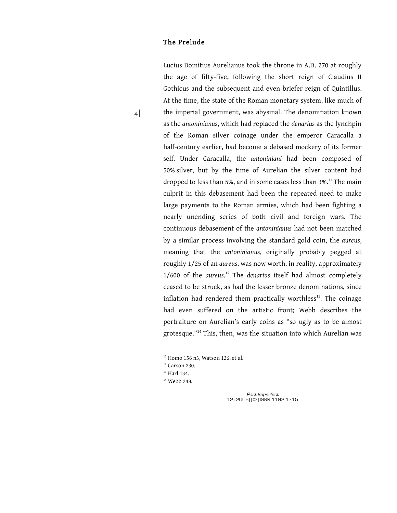# The Prelu de

 $4$ 

Lucius Domitius Aurelianus took the throne in A.D. 270 at roughly the age of fifty-five, following the short reign of Claudius II Gothicus and the subsequent and even briefer reign of Quintillus. At the time, the state of the Roman monetary system, like much of the imperial government, was abysmal. The denomination known as the *antoninianus*, which had replaced the *denarius* as the lynchpin of the Roman silver coinage under the emperor Caracalla a half-century earlier, had become a debased mockery of its former self. Under Caracalla, the *antoniniani* had been composed of 50% silver, but by the time of Aurelian the silver content had dropped to less than 5%, and in some cases less than 3%.<sup>11</sup> The main culprit in this debasement had been the repeated need to make large payments to the Roman armies, which had been fighting a nearly unending series of both civil and foreign wars. The continuous debasement of the *antoninianus* had not been matched by a similar process involving the standard gold coin, the *aureus*, meaning that the *antoninianus*, originally probably pegged at roughly 1/25 of an *aureus*, was now worth, in reality, approximately 1/600 of the *aureus*.<sup>12</sup> The *denarius* itself had almost completely ceased to be struck, as had the lesser bronze denominations, since inflation had rendered them practically worthless $13$ . The coinage had even suffered on the artistic front; Webb describes the portraiture on Aurelian's early coins as "so ugly as to be almost grotesque."<sup>14</sup> This, then, was the situation into which Aurelian was

 $\overline{a}$ 

 $11$  Homo 156 n3, Watson 126, et al.

 $12$  Carson 230.

<sup>&</sup>lt;sup>13</sup> Harl 134.

<sup>&</sup>lt;sup>14</sup> Webb 248.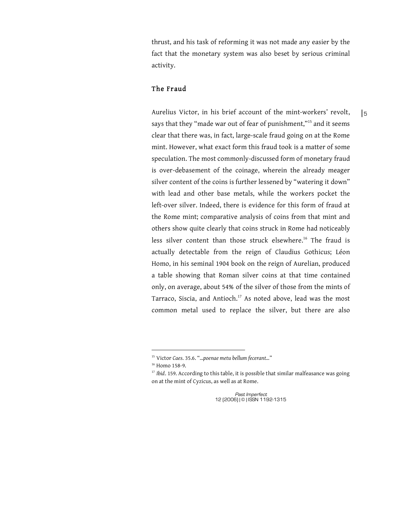thrust, and his task of reforming it was not made any easier by the fact that the monetary system was also beset by serious criminal activity.

## The Fraud

Aurelius Victor, in his brief account of the mint-workers' revolt, says that they "made war out of fear of punishment,"<sup>15</sup> and it seems clear that there was, in fact, large-scale fraud going on at the Rome mint. However, what exact form this fraud took is a matter of some speculation. The most commonly-discussed form of monetary fraud is over-debasement of the coinage, wherein the already meager silver content of the coins is further lessened by "watering it down" with lead and other base metals, while the workers pocket the left-over silver. Indeed, there is evidence for this form of fraud at the Rome mint; comparative analysis of coins from that mint and others show quite clearly that coins struck in Rome had noticeably less silver content than those struck elsewhere.<sup>16</sup> The fraud is actually detectable from the reign of Claudius Gothicus; Léon Homo, in his seminal 1904 book on the reign of Aurelian, produced a table showing that Roman silver coins at that time contained only, on average, about 54% of the silver of those from the mints of Tarraco, Siscia, and Antioch.<sup>17</sup> As noted above, lead was the most common metal used to replace the silver, but there are also

 $\overline{a}$ 

| 5

<sup>15</sup> Victor *Caes*. 35.6. "*…poenae metu bellum fecerant…*"

<sup>&</sup>lt;sup>16</sup> Homo 158-9.

<sup>&</sup>lt;sup>17</sup> *Ibid*. 159. According to this table, it is possible that similar malfeasance was going on at the mint of Cyzicus, as well as at Rome.

Past Imperfect 12 (2006) | © | ISSN 1192-1315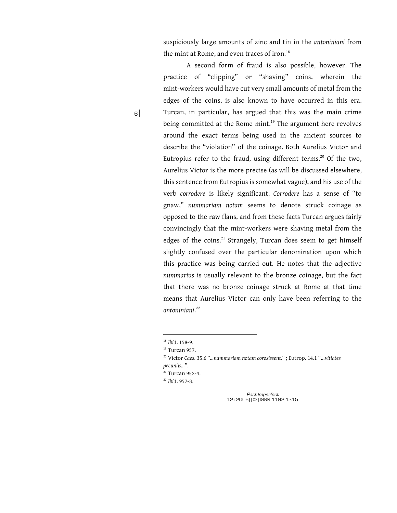suspiciously large amounts of zinc and tin in the *antoniniani* from the mint at Rome, and even traces of iron.<sup>18</sup>

A second form of fraud is also possible, however. The practice of "clipping" or "shaving" coins, wherein the mint-workers would have cut very small amounts of metal from the edges of the coins, is also known to have occurred in this era. Turcan, in particular, has argued that this was the main crime being committed at the Rome mint.<sup>19</sup> The argument here revolves around the exact terms being used in the ancient sources to describe the "violation" of the coinage. Both Aurelius Victor and Eutropius refer to the fraud, using different terms.<sup>20</sup> Of the two, Aurelius Victor is the more precise (as will be discussed elsewhere, this sentence from Eutropius is somewhat vague), and his use of the verb *corrodere* is likely significant. *Corrodere* has a sense of "to gnaw," *nummariam notam* seems to denote struck coinage as opposed to the raw flans, and from these facts Turcan argues fairly convincingly that the mint-workers were shaving metal from the edges of the coins.<sup>21</sup> Strangely, Turcan does seem to get himself slightly confused over the particular denomination upon which this practice was being carried out. He notes that the adjective *nummarius* is usually relevant to the bronze coinage, but the fact that there was no bronze coinage struck at Rome at that time means that Aurelius Victor can only have been referring to the *antoniniani*. 22

 $\overline{a}$ 

 $6$ 

<sup>18</sup> *Ibid*. 158-9.

<sup>&</sup>lt;sup>19</sup> Turcan 957.

<sup>20</sup> Victor *Caes*. 35.6 "*…nummariam notam corosissent.*" ; Eutrop. 14.1 "…*vitiates pecuniis…*".

<sup>&</sup>lt;sup>21</sup> Turcan 952-4.

<sup>22</sup> *Ibid*. 957-8.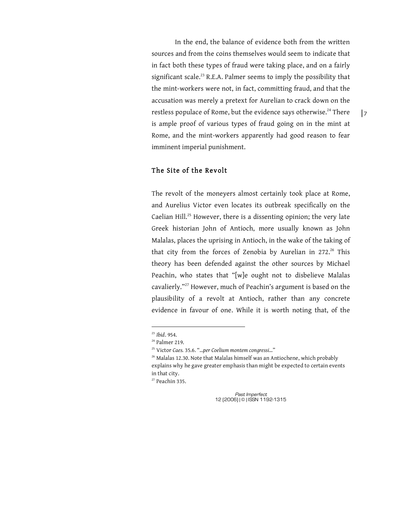In the end, the balance of evidence both from the written sources and from the coins themselves would seem to indicate that in fact both these types of fraud were taking place, and on a fairly significant scale.<sup>23</sup> R.E.A. Palmer seems to imply the possibility that the mint-workers were not, in fact, committing fraud, and that the accusation was merely a pretext for Aurelian to crack down on the restless populace of Rome, but the evidence says otherwise.<sup>24</sup> There is ample proof of various types of fraud going on in the mint at Rome, and the mint-workers apparently had good reason to fear imminent imperial punishment.

## The Site of the Revolt

The revolt of the moneyers almost certainly took place at Rome, and Aurelius Victor even locates its outbreak specifically on the Caelian Hill.<sup>25</sup> However, there is a dissenting opinion; the very late Greek historian John of Antioch, more usually known as John Malalas, places the uprising in Antioch, in the wake of the taking of that city from the forces of Zenobia by Aurelian in 272.<sup>26</sup> This theory has been defended against the other sources by Michael Peachin, who states that "[w]e ought not to disbelieve Malalas cavalierly."<sup>27</sup> However, much of Peachin's argument is based on the plausibility of a revolt at Antioch, rather than any concrete evidence in favour of one. While it is worth noting that, of the

 $\overline{a}$ 

<sup>27</sup> Peachin 335.

<sup>23</sup> *Ibid*. 954.

<sup>&</sup>lt;sup>24</sup> Palmer 219.

<sup>25</sup> Victor *Caes.* 35.6. "*…per Coelium montem congressi…*"

<sup>&</sup>lt;sup>26</sup> Malalas 12.30. Note that Malalas himself was an Antiochene, which probably explains why he gave greater emphasis than might be expected to certain events in that city.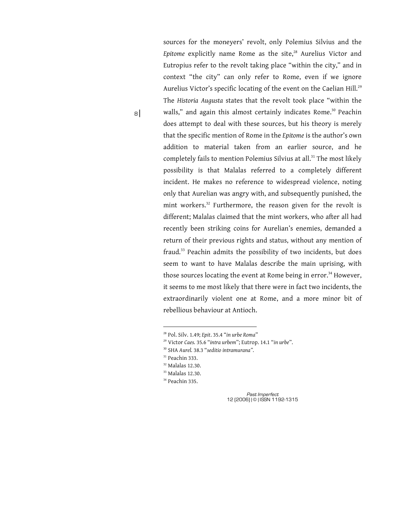sources for the moneyers' revolt, only Polemius Silvius and the Epitome explicitly name Rome as the site,<sup>28</sup> Aurelius Victor and Eutropius refer to the revolt taking place "within the city," and in context "the city" can only refer to Rome, even if we ignore Aurelius Victor's specific locating of the event on the Caelian Hill.<sup>29</sup> The *Historia Augusta* states that the revolt took place "within the walls," and again this almost certainly indicates Rome.<sup>30</sup> Peachin does attempt to deal with these sources, but his theory is merely that the specific mention of Rome in the *Epitome* is the author's own addition to material taken from an earlier source, and he completely fails to mention Polemius Silvius at all.<sup>31</sup> The most likely possibility is that Malalas referred to a completely different incident. He makes no reference to widespread violence, noting only that Aurelian was angry with, and subsequently punished, the mint workers.<sup>32</sup> Furthermore, the reason given for the revolt is different; Malalas claimed that the mint workers, who after all had recently been striking coins for Aurelian's enemies, demanded a return of their previous rights and status, without any mention of fraud.<sup>33</sup> Peachin admits the possibility of two incidents, but does seem to want to have Malalas describe the main uprising, with those sources locating the event at Rome being in error.<sup>34</sup> However, it seems to me most likely that there were in fact two incidents, the extraordinarily violent one at Rome, and a more minor bit of rebellious behaviour at Antioch.

 $\overline{a}$ 

8 |

<sup>28</sup> Pol. Silv. 1.49; *Epit*. 35.4 "*in urbe Roma*"

<sup>29</sup> Victor *Caes.* 35.6 "*intra urbem*"; Eutrop. 14.1 "*in urbe*".

<sup>30</sup> SHA *Aurel.* 38.3 "*seditio intramurana".*

 $31$  Peachin 333.

<sup>32</sup> Malalas 12.30.

<sup>33</sup> Malalas 12.30.

<sup>&</sup>lt;sup>34</sup> Peachin 335.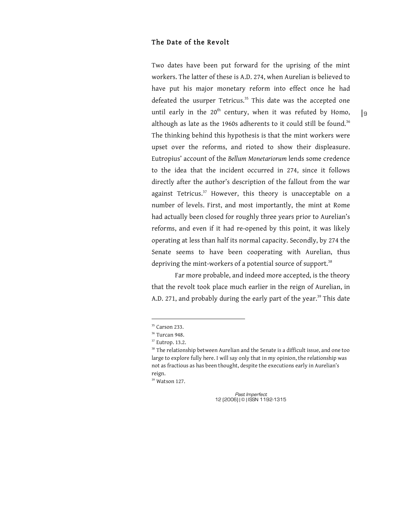# The Date of the Revolt

Two dates have been put forward for the uprising of the mint workers. The latter of these is A.D. 274, when Aurelian is believed to have put his major monetary reform into effect once he had defeated the usurper Tetricus. $35$  This date was the accepted one until early in the  $20^{th}$  century, when it was refuted by Homo, although as late as the 1960s adherents to it could still be found.<sup>36</sup> The thinking behind this hypothesis is that the mint workers were upset over the reforms, and rioted to show their displeasure. Eutropius' account of the *Bellum Monetariorum* lends some credence to the idea that the incident occurred in 274, since it follows directly after the author's description of the fallout from the war against Tetricus.<sup>37</sup> However, this theory is unacceptable on a number of levels. First, and most importantly, the mint at Rome had actually been closed for roughly three years prior to Aurelian's reforms, and even if it had re-opened by this point, it was likely operating at less than half its normal capacity. Secondly, by 274 the Senate seems to have been cooperating with Aurelian, thus depriving the mint-workers of a potential source of support.<sup>38</sup>

Far more probable, and indeed more accepted, is the theory that the revolt took place much earlier in the reign of Aurelian, in A.D. 271, and probably during the early part of the year.<sup>39</sup> This date

 $\overline{a}$ 

<sup>&</sup>lt;sup>35</sup> Carson 233.

<sup>36</sup> Turcan 948.

<sup>37</sup> Eutrop. 13.2.

<sup>&</sup>lt;sup>38</sup> The relationship between Aurelian and the Senate is a difficult issue, and one too large to explore fully here. I will say only that in my opinion, the relationship was not as fractious as has been thought, despite the executions early in Aurelian's reign.

<sup>39</sup> Watson 127.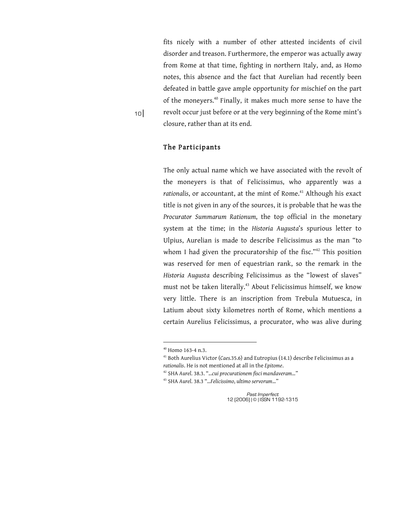fits nicely with a number of other attested incidents of civil disorder and treason. Furthermore, the emperor was actually away from Rome at that time, fighting in northern Italy, and, as Homo notes, this absence and the fact that Aurelian had recently been defeated in battle gave ample opportunity for mischief on the part of the moneyers.<sup>40</sup> Finally, it makes much more sense to have the revolt occur just before or at the very beginning of the Rome mint's closure, rather than at its end.

 $10<sup>1</sup>$ 

## The Participants

The only actual name which we have associated with the revolt of the moneyers is that of Felicissimus, who apparently was a *rationalis*, or accountant, at the mint of Rome.<sup>41</sup> Although his exact title is not given in any of the sources, it is probable that he was the *Procurator Summarum Rationum*, the top official in the monetary system at the time; in the *Historia Augusta*'s spurious letter to Ulpius, Aurelian is made to describe Felicissimus as the man "to whom I had given the procuratorship of the fisc."<sup>42</sup> This position was reserved for men of equestrian rank, so the remark in the *Historia Augusta* describing Felicissimus as the "lowest of slaves" must not be taken literally.<sup>43</sup> About Felicissimus himself, we know very little. There is an inscription from Trebula Mutuesca, in Latium about sixty kilometres north of Rome, which mentions a certain Aurelius Felicissimus, a procurator, who was alive during

 $\overline{a}$ 

<sup>40</sup> Homo 163-4 n.3.

<sup>41</sup> Both Aurelius Victor (*Caes.*35.6) and Eutropius (14.1) describe Felicissimus as a *rationalis*. He is not mentioned at all in the *Epitome*.

<sup>42</sup> SHA *Aurel*. 38.3. "*...cui procurationem fisci mandaveram…*"

<sup>43</sup> SHA *Aurel*. 38.3 "*…Felicissimo, ultimo servorum…*"

Past Imperfect 12 (2006) | © | ISSN 1192-1315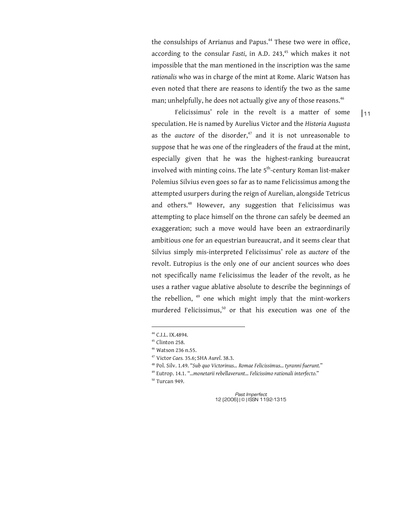the consulships of Arrianus and Papus.<sup>44</sup> These two were in office, according to the consular *Fasti*, in A.D. 243,<sup>45</sup> which makes it not impossible that the man mentioned in the inscription was the same *rationalis* who was in charge of the mint at Rome. Alaric Watson has even noted that there are reasons to identify the two as the same man; unhelpfully, he does not actually give any of those reasons.<sup>46</sup>

Felicissimus' role in the revolt is a matter of some speculation. He is named by Aurelius Victor and the *Historia Augusta*  as the *auctore* of the disorder,<sup>47</sup> and it is not unreasonable to suppose that he was one of the ringleaders of the fraud at the mint, especially given that he was the highest-ranking bureaucrat involved with minting coins. The late 5<sup>th</sup>-century Roman list-maker Polemius Silvius even goes so far as to name Felicissimus among the attempted usurpers during the reign of Aurelian, alongside Tetricus and others.<sup>48</sup> However, any suggestion that Felicissimus was attempting to place himself on the throne can safely be deemed an exaggeration; such a move would have been an extraordinarily ambitious one for an equestrian bureaucrat, and it seems clear that Silvius simply mis-interpreted Felicissimus' role as *auctore* of the revolt. Eutropius is the only one of our ancient sources who does not specifically name Felicissimus the leader of the revolt, as he uses a rather vague ablative absolute to describe the beginnings of the rebellion, <sup>49</sup> one which might imply that the mint-workers murdered Felicissimus,<sup>50</sup> or that his execution was one of the

 $\overline{a}$ 

50 Turcan 949.

Past Imperfect 12 (2006) | © | ISSN 1192-1315  $|11$ 

<sup>44</sup> C.I.L. IX.4894.

<sup>45</sup> Clinton 258.

<sup>46</sup> Watson 236 n.55.

<sup>47</sup> Victor *Caes.* 35.6; SHA *Aurel*. 38.3.

<sup>48</sup> Pol. Silv. 1.49. "*Sub quo Victorinus… Romae Felicissimus… tyranni fuerunt.*"

<sup>49</sup> Eutrop. 14.1. "*…monetarii rebellaverunt… Felicissimo rationali interfecto.*"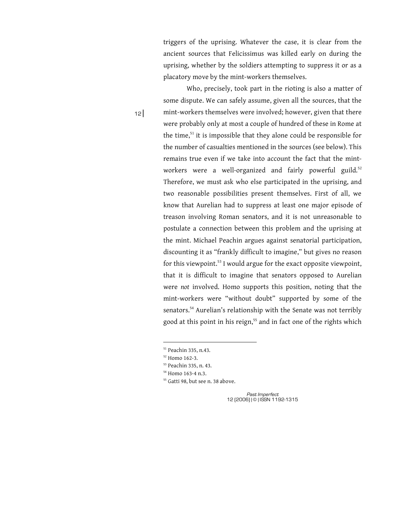triggers of the uprising. Whatever the case, it is clear from the ancient sources that Felicissimus was killed early on during the uprising, whether by the soldiers attempting to suppress it or as a placatory move by the mint-workers themselves.

Who, precisely, took part in the rioting is also a matter of some dispute. We can safely assume, given all the sources, that the mint-workers themselves were involved; however, given that there were probably only at most a couple of hundred of these in Rome at the time, $51$  it is impossible that they alone could be responsible for the number of casualties mentioned in the sources (see below). This remains true even if we take into account the fact that the mintworkers were a well-organized and fairly powerful guild.<sup>52</sup> Therefore, we must ask who else participated in the uprising, and two reasonable possibilities present themselves. First of all, we know that Aurelian had to suppress at least one major episode of treason involving Roman senators, and it is not unreasonable to postulate a connection between this problem and the uprising at the mint. Michael Peachin argues against senatorial participation, discounting it as "frankly difficult to imagine," but gives no reason for this viewpoint.<sup>53</sup> I would argue for the exact opposite viewpoint, that it is difficult to imagine that senators opposed to Aurelian were *not* involved. Homo supports this position, noting that the mint-workers were "without doubt" supported by some of the senators.<sup>54</sup> Aurelian's relationship with the Senate was not terribly good at this point in his reign,<sup>55</sup> and in fact one of the rights which

 $\overline{a}$ 

Past Imperfect 12 (2006) | © | ISSN 1192-1315

<sup>12</sup> |

<sup>51</sup> Peachin 335, n.43.

<sup>52</sup> Homo 162-3.

<sup>53</sup> Peachin 335, n. 43.

<sup>54</sup> Homo 163-4 n.3.

<sup>&</sup>lt;sup>55</sup> Gatti 98, but see n. 38 above.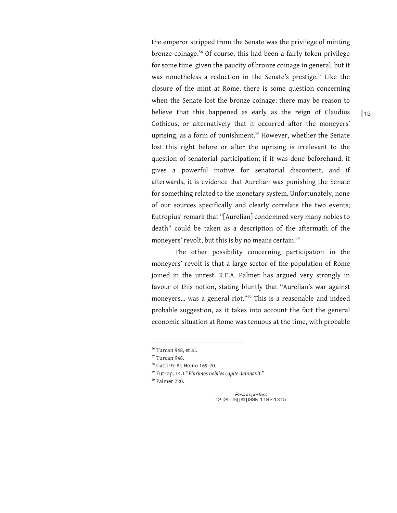the emperor stripped from the Senate was the privilege of minting bronze coinage.<sup>56</sup> Of course, this had been a fairly token privilege for some time, given the paucity of bronze coinage in general, but it was nonetheless a reduction in the Senate's prestige.<sup>57</sup> Like the closure of the mint at Rome, there is some question concerning when the Senate lost the bronze coinage; there may be reason to believe that this happened as early as the reign of Claudius Gothicus, or alternatively that it occurred after the moneyers' uprising, as a form of punishment.<sup>58</sup> However, whether the Senate lost this right before or after the uprising is irrelevant to the question of senatorial participation; if it was done beforehand, it gives a powerful motive for senatorial discontent, and if afterwards, it is evidence that Aurelian was punishing the Senate for something related to the monetary system. Unfortunately, none of our sources specifically and clearly correlate the two events; Eutropius' remark that "[Aurelian] condemned very many nobles to death" could be taken as a description of the aftermath of the moneyers' revolt, but this is by no means certain.<sup>59</sup>

The other possibility concerning participation in the moneyers' revolt is that a large sector of the population of Rome joined in the unrest. R.E.A. Palmer has argued very strongly in favour of this notion, stating bluntly that "Aurelian's war against moneyers... was a general riot."<sup>60</sup> This is a reasonable and indeed probable suggestion, as it takes into account the fact the general economic situation at Rome was tenuous at the time, with probable

 $\overline{a}$ 

60 Palmer 220.

<sup>56</sup> Turcan 948, et al.

<sup>57</sup> Turcan 948.

<sup>58</sup> Gatti 97-8l; Homo 169-70.

<sup>59</sup> Eutrop. 14.1 "*Plurimos nobiles capite damnavit.*"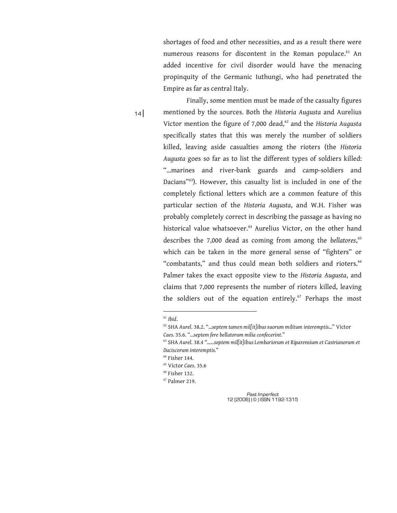shortages of food and other necessities, and as a result there were numerous reasons for discontent in the Roman populace.<sup>61</sup> An added incentive for civil disorder would have the menacing propinquity of the Germanic Iuthungi, who had penetrated the Empire as far as central Italy.

Finally, some mention must be made of the casualty figures mentioned by the sources. Both the *Historia Augusta* and Aurelius Victor mention the figure of 7,000 dead,<sup>62</sup> and the *Historia Augusta* specifically states that this was merely the number of soldiers killed, leaving aside casualties among the rioters (the *Historia Augusta* goes so far as to list the different types of soldiers killed: "…marines and river-bank guards and camp-soldiers and Dacians"63). However, this casualty list is included in one of the completely fictional letters which are a common feature of this particular section of the *Historia Augusta*, and W.H. Fisher was probably completely correct in describing the passage as having no historical value whatsoever.<sup>64</sup> Aurelius Victor, on the other hand describes the 7,000 dead as coming from among the *bellatores*, 65 which can be taken in the more general sense of "fighters" or "combatants," and thus could mean both soldiers and rioters.<sup>66</sup> Palmer takes the exact opposite view to the *Historia Augusta*, and claims that 7,000 represents the number of rioters killed, leaving the soldiers out of the equation entirely.<sup>67</sup> Perhaps the most

 $\overline{a}$ 

 $14$ 

66 Fisher 132.

<sup>61</sup> *Ibid*.

<sup>62</sup> SHA *Aurel*. 38.2. "*...septem tamen mil[it]ibus suorum militum interemptis…*" Victor *Caes.* 35.6. "*...septem fere bellatorum milia confecerint*."

<sup>63</sup> SHA *Aurel*. 38.4 "*……septem mil[it]ibus Lembariorum et Riparensium et Castrianorum et Daciscorum interemptis.*"

 $<sup>64</sup>$  Fisher 144.</sup>

<sup>65</sup> Victor *Caes*. 35.6

<sup>67</sup> Palmer 219.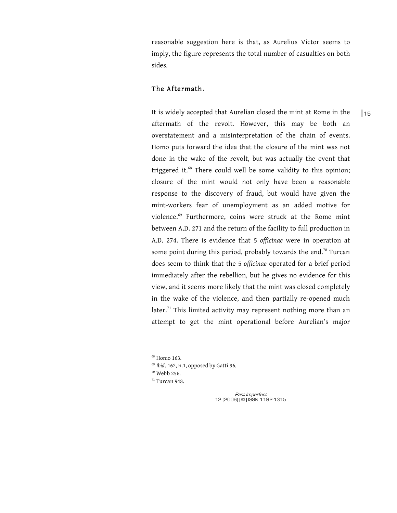reasonable suggestion here is that, as Aurelius Victor seems to imply, the figure represents the total number of casualties on both sides.

# The Aftermath.

It is widely accepted that Aurelian closed the mint at Rome in the aftermath of the revolt. However, this may be both an overstatement and a misinterpretation of the chain of events. Homo puts forward the idea that the closure of the mint was not done in the wake of the revolt, but was actually the event that triggered it.<sup>68</sup> There could well be some validity to this opinion; closure of the mint would not only have been a reasonable response to the discovery of fraud, but would have given the mint-workers fear of unemployment as an added motive for violence.<sup>69</sup> Furthermore, coins were struck at the Rome mint between A.D. 271 and the return of the facility to full production in A.D. 274. There is evidence that 5 *officinae* were in operation at some point during this period, probably towards the end.<sup>70</sup> Turcan does seem to think that the 5 *officinae* operated for a brief period immediately after the rebellion, but he gives no evidence for this view, and it seems more likely that the mint was closed completely in the wake of the violence, and then partially re-opened much later.<sup>71</sup> This limited activity may represent nothing more than an attempt to get the mint operational before Aurelian's major

 $\overline{a}$ 

 $68$  Homo 163.

<sup>69</sup> *Ibid*. 162, n.1, opposed by Gatti 96.

 $70$  Webb 256.

 $71$  Turcan 948.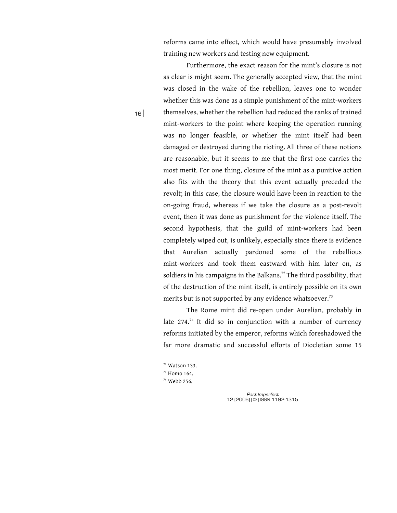reforms came into effect, which would have presumably involved training new workers and testing new equipment.

Furthermore, the exact reason for the mint's closure is not as clear is might seem. The generally accepted view, that the mint was closed in the wake of the rebellion, leaves one to wonder whether this was done as a simple punishment of the mint-workers themselves, whether the rebellion had reduced the ranks of trained mint-workers to the point where keeping the operation running was no longer feasible, or whether the mint itself had been damaged or destroyed during the rioting. All three of these notions are reasonable, but it seems to me that the first one carries the most merit. For one thing, closure of the mint as a punitive action also fits with the theory that this event actually preceded the revolt; in this case, the closure would have been in reaction to the on-going fraud, whereas if we take the closure as a post-revolt event, then it was done as punishment for the violence itself. The second hypothesis, that the guild of mint-workers had been completely wiped out, is unlikely, especially since there is evidence that Aurelian actually pardoned some of the rebellious mint-workers and took them eastward with him later on, as soldiers in his campaigns in the Balkans.<sup>72</sup> The third possibility, that of the destruction of the mint itself, is entirely possible on its own merits but is not supported by any evidence whatsoever.<sup>73</sup>

The Rome mint did re-open under Aurelian, probably in late  $274.^{74}$  It did so in conjunction with a number of currency reforms initiated by the emperor, reforms which foreshadowed the far more dramatic and successful efforts of Diocletian some 15

 $\overline{a}$ 

<sup>16</sup> |

 $72$  Watson 133.

<sup>73</sup> Homo 164.

<sup>74</sup> Webb 256.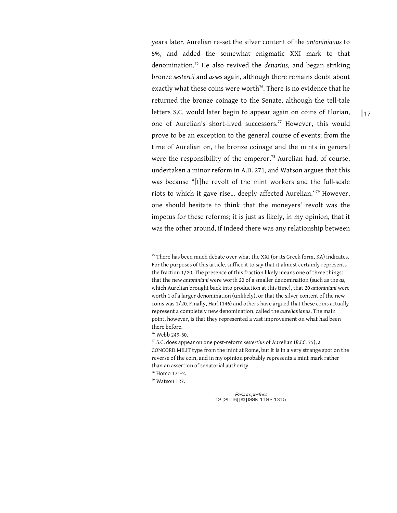years later. Aurelian re-set the silver content of the *antoninianus* to 5%, and added the somewhat enigmatic XXI mark to that denomination.<sup>75</sup> He also revived the *denarius*, and began striking bronze *sestertii* and *asses* again, although there remains doubt about exactly what these coins were worth<sup>76</sup>. There is no evidence that he returned the bronze coinage to the Senate, although the tell-tale letters S.C. would later begin to appear again on coins of Florian, one of Aurelian's short-lived successors.<sup>77</sup> However, this would prove to be an exception to the general course of events; from the time of Aurelian on, the bronze coinage and the mints in general were the responsibility of the emperor.<sup>78</sup> Aurelian had, of course, undertaken a minor reform in A.D. 271, and Watson argues that this was because "[t]he revolt of the mint workers and the full-scale riots to which it gave rise… deeply affected Aurelian."<sup>79</sup> However, one should hesitate to think that the moneyers' revolt was the impetus for these reforms; it is just as likely, in my opinion, that it was the other around, if indeed there was any relationship between

76 Webb 249-50.

 $\overline{a}$ 

78 Homo 171-2.

79 Watson 127.

 $75$  There has been much debate over what the XXI (or its Greek form, KA) indicates. For the purposes of this article, suffice it to say that it almost certainly represents the fraction 1/20. The presence of this fraction likely means one of three things: that the new *antoniniani* were worth 20 of a smaller denomination (such as the *as*, which Aurelian brought back into production at this time), that 20 *antoniniani* were worth 1 of a larger denomination (unlikely), or that the silver content of the new coins was 1/20. Finally, Harl (146) and others have argued that these coins actually represent a completely new denomination, called the *aurelianianus*. The main point, however, is that they represented a vast improvement on what had been there before.

<sup>77</sup> S.C. does appear on one post-reform *sestertius* of Aurelian (*R.I.C.* 75), a CONCORD.MILIT type from the mint at Rome, but it is in a very strange spot on the reverse of the coin, and in my opinion probably represents a mint mark rather than an assertion of senatorial authority.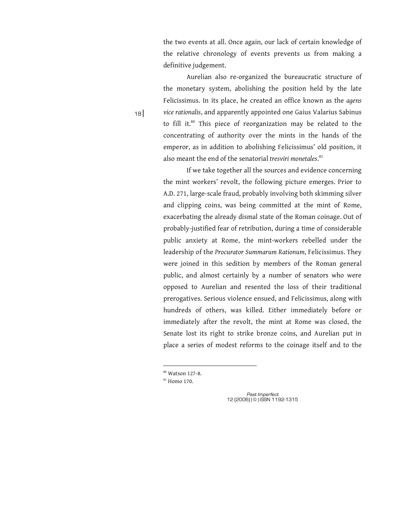the two events at all. Once again, our lack of certain knowledge of the relative chronology of events prevents us from making a definitive judgement.

Aurelian also re-organized the bureaucratic structure of the monetary system, abolishing the position held by the late Felicissimus. In its place, he created an office known as the *agens vice rationalis*, and apparently appointed one Gaius Valarius Sabinus to fill it. ${}^{80}$  This piece of reorganization may be related to the concentrating of authority over the mints in the hands of the emperor, as in addition to abolishing Felicissimus' old position, it also meant the end of the senatorial *tresviri monetales*. 81

If we take together all the sources and evidence concerning the mint workers' revolt, the following picture emerges. Prior to A.D. 271, large-scale fraud, probably involving both skimming silver and clipping coins, was being committed at the mint of Rome, exacerbating the already dismal state of the Roman coinage. Out of probably-justified fear of retribution, during a time of considerable public anxiety at Rome, the mint-workers rebelled under the leadership of the *Procurator Summarum Rationum*, Felicissimus. They were joined in this sedition by members of the Roman general public, and almost certainly by a number of senators who were opposed to Aurelian and resented the loss of their traditional prerogatives. Serious violence ensued, and Felicissimus, along with hundreds of others, was killed. Either immediately before or immediately after the revolt, the mint at Rome was closed, the Senate lost its right to strike bronze coins, and Aurelian put in place a series of modest reforms to the coinage itself and to the

 $\overline{a}$ 

Past Imperfect 12 (2006) | © | ISSN 1192-1315

<sup>18</sup> |

<sup>80</sup> Watson 127-8.

<sup>81</sup> Homo 170.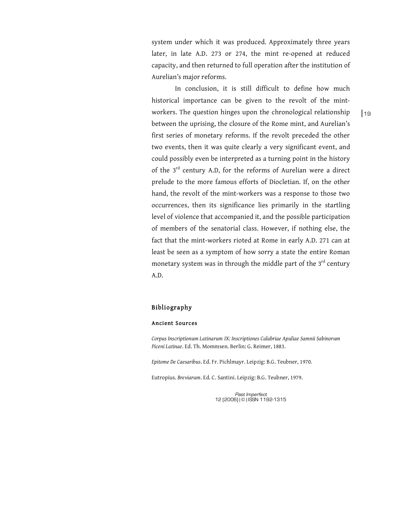system under which it was produced. Approximately three years later, in late A.D. 273 or 274, the mint re-opened at reduced capacity, and then returned to full operation after the institution of Aurelian's major reforms.

In conclusion, it is still difficult to define how much historical importance can be given to the revolt of the mintworkers. The question hinges upon the chronological relationship between the uprising, the closure of the Rome mint, and Aurelian's first series of monetary reforms. If the revolt preceded the other two events, then it was quite clearly a very significant event, and could possibly even be interpreted as a turning point in the history of the 3<sup>rd</sup> century A.D, for the reforms of Aurelian were a direct prelude to the more famous efforts of Diocletian. If, on the other hand, the revolt of the mint-workers was a response to those two occurrences, then its significance lies primarily in the startling level of violence that accompanied it, and the possible participation of members of the senatorial class. However, if nothing else, the fact that the mint-workers rioted at Rome in early A.D. 271 can at least be seen as a symptom of how sorry a state the entire Roman monetary system was in through the middle part of the  $3<sup>rd</sup>$  century A.D.

### Bibliography

#### Ancient Sources

*Corpus Inscriptionum Latinarum IX: Inscriptiones Calabriae Apuliae Samnii Sabinorum Piceni Latinae*. Ed. Th. Mommsen. Berlin: G. Reimer, 1883.

*Epitome De Caesaribus*. Ed. Fr. Pichlmayr. Leipzig: B.G. Teubner, 1970.

Eutropius. *Breviarum*. Ed. C. Santini. Leipzig: B.G. Teubner, 1979.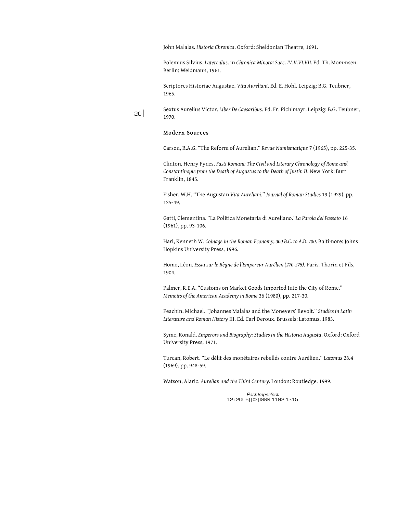John Malalas. *Historia Chronica*. Oxford: Sheldonian Theatre, 1691.

Polemius Silvius. *Laterculus*. in *Chronica Minora: Saec. IV.V.VI.VII.* Ed. Th. Mommsen. Berlin: Weidmann, 1961.

Scriptores Historiae Augustae. *Vita Aureliani*. Ed. E. Hohl. Leipzig: B.G. Teubner, 1965.

Sextus Aurelius Victor. *Liber De Caesaribus*. Ed. Fr. Pichlmayr. Leipzig: B.G. Teubner, 1970.

#### Modern Sources

<sup>20</sup> |

Carson, R.A.G. "The Reform of Aurelian." *Revue Numismatique* 7 (1965), pp. 225-35.

Clinton, Henry Fynes. *Fasti Romani: The Civil and Literary Chronology of Rome and Constantinople from the Death of Augustus to the Death of Justin II*. New York: Burt Franklin, 1845.

Fisher, W.H. "The Augustan *Vita Aureliani*." *Journal of Roman Studies* 19 (1929), pp. 125-49.

Gatti, Clementina. "La Politica Monetaria di Aureliano."*La Parola del Passato* 16 (1961), pp. 93-106.

Harl, Kenneth W. *Coinage in the Roman Economy, 300 B.C. to A.D. 700*. Baltimore: Johns Hopkins University Press, 1996.

Homo, Léon. *Essai sur le Règne de l'Empereur Aurélien (270-275)*. Paris: Thorin et Fils, 1904.

Palmer, R.E.A. "Customs on Market Goods Imported Into the City of Rome." *Memoirs of the American Academy in Rome* 36 (1980), pp. 217-30.

Peachin, Michael. "Johannes Malalas and the Moneyers' Revolt." *Studies in Latin Literature and Roman History* III. Ed. Carl Deroux. Brussels: Latomus, 1983.

Syme, Ronald. *Emperors and Biography: Studies in the Historia Augusta*. Oxford: Oxford University Press, 1971.

Turcan, Robert. "Le délit des monétaires rebellés contre Aurélien." *Latomus* 28.4 (1969), pp. 948-59.

Watson, Alaric. *Aurelian and the Third Century.* London: Routledge, 1999.